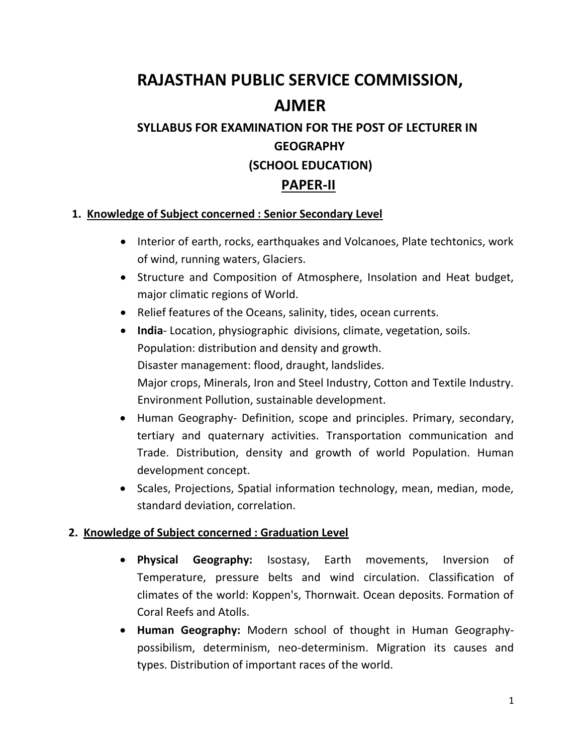# **RAJASTHAN PUBLIC SERVICE COMMISSION, AJMER**

## **SYLLABUS FOR EXAMINATION FOR THE POST OF LECTURER IN GEOGRAPHY (SCHOOL EDUCATION)**

#### **PAPER-II**

#### **1. Knowledge of Subject concerned : Senior Secondary Level**

- Interior of earth, rocks, earthquakes and Volcanoes, Plate techtonics, work of wind, running waters, Glaciers.
- Structure and Composition of Atmosphere, Insolation and Heat budget, major climatic regions of World.
- Relief features of the Oceans, salinity, tides, ocean currents.
- **India** Location, physiographic divisions, climate, vegetation, soils. Population: distribution and density and growth. Disaster management: flood, draught, landslides. Major crops, Minerals, Iron and Steel Industry, Cotton and Textile Industry. Environment Pollution, sustainable development.
- Human Geography- Definition, scope and principles. Primary, secondary, tertiary and quaternary activities. Transportation communication and Trade. Distribution, density and growth of world Population. Human development concept.
- Scales, Projections, Spatial information technology, mean, median, mode, standard deviation, correlation.

#### **2. Knowledge of Subject concerned : Graduation Level**

- **Physical Geography:** Isostasy, Earth movements, Inversion of Temperature, pressure belts and wind circulation. Classification of climates of the world: Koppen's, Thornwait. Ocean deposits. Formation of Coral Reefs and Atolls.
- **Human Geography:** Modern school of thought in Human Geographypossibilism, determinism, neo-determinism. Migration its causes and types. Distribution of important races of the world.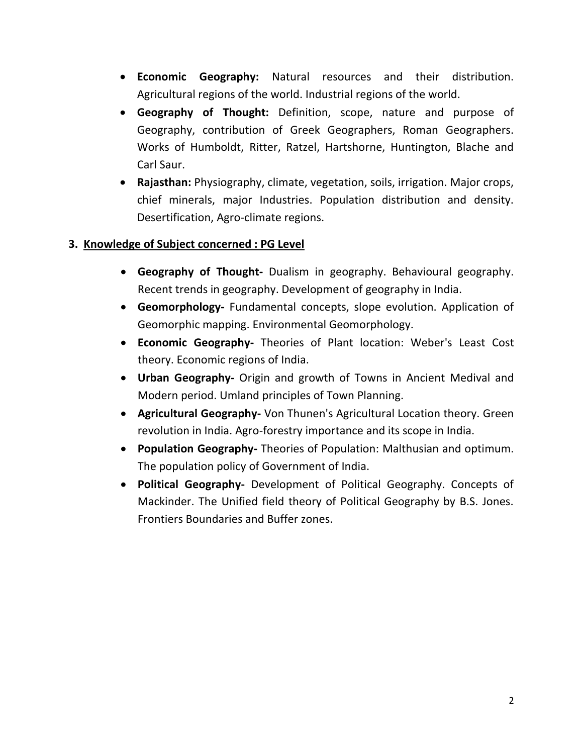- **Economic Geography:** Natural resources and their distribution. Agricultural regions of the world. Industrial regions of the world.
- **Geography of Thought:** Definition, scope, nature and purpose of Geography, contribution of Greek Geographers, Roman Geographers. Works of Humboldt, Ritter, Ratzel, Hartshorne, Huntington, Blache and Carl Saur.
- **Rajasthan:** Physiography, climate, vegetation, soils, irrigation. Major crops, chief minerals, major Industries. Population distribution and density. Desertification, Agro-climate regions.

#### **3. Knowledge of Subject concerned : PG Level**

- **Geography of Thought-** Dualism in geography. Behavioural geography. Recent trends in geography. Development of geography in India.
- **Geomorphology-** Fundamental concepts, slope evolution. Application of Geomorphic mapping. Environmental Geomorphology.
- **Economic Geography-** Theories of Plant location: Weber's Least Cost theory. Economic regions of India.
- **Urban Geography-** Origin and growth of Towns in Ancient Medival and Modern period. Umland principles of Town Planning.
- **Agricultural Geography-** Von Thunen's Agricultural Location theory. Green revolution in India. Agro-forestry importance and its scope in India.
- **Population Geography-** Theories of Population: Malthusian and optimum. The population policy of Government of India.
- **Political Geography-** Development of Political Geography. Concepts of Mackinder. The Unified field theory of Political Geography by B.S. Jones. Frontiers Boundaries and Buffer zones.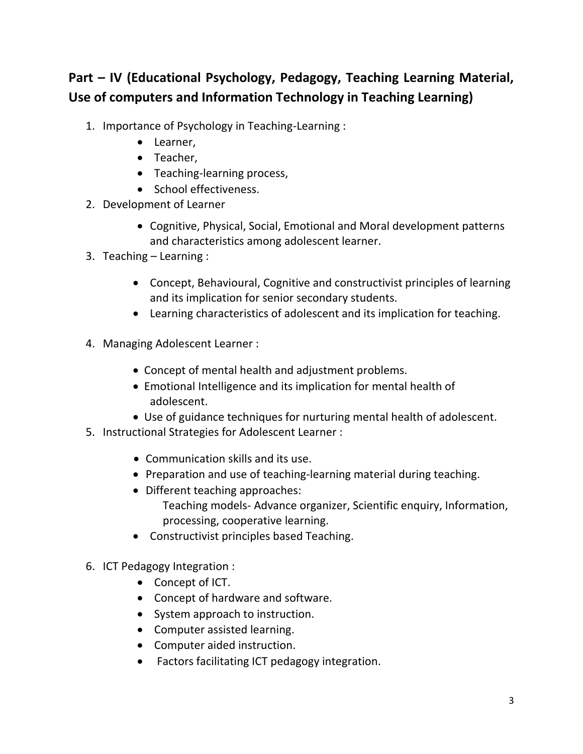### **Part – IV (Educational Psychology, Pedagogy, Teaching Learning Material, Use of computers and Information Technology in Teaching Learning)**

- 1. Importance of Psychology in Teaching-Learning :
	- Learner,
	- Teacher,
	- Teaching-learning process,
	- School effectiveness.
- 2. Development of Learner
	- Cognitive, Physical, Social, Emotional and Moral development patterns and characteristics among adolescent learner.
- 3. Teaching Learning :
	- Concept, Behavioural, Cognitive and constructivist principles of learning and its implication for senior secondary students.
	- Learning characteristics of adolescent and its implication for teaching.
- 4. Managing Adolescent Learner :
	- Concept of mental health and adjustment problems.
	- Emotional Intelligence and its implication for mental health of adolescent.
	- Use of guidance techniques for nurturing mental health of adolescent.
- 5. Instructional Strategies for Adolescent Learner :
	- Communication skills and its use.
	- Preparation and use of teaching-learning material during teaching.
	- Different teaching approaches:
		- Teaching models- Advance organizer, Scientific enquiry, Information, processing, cooperative learning.
	- Constructivist principles based Teaching.
- 6. ICT Pedagogy Integration :
	- Concept of ICT.
	- Concept of hardware and software.
	- System approach to instruction.
	- Computer assisted learning.
	- Computer aided instruction.
	- Factors facilitating ICT pedagogy integration.